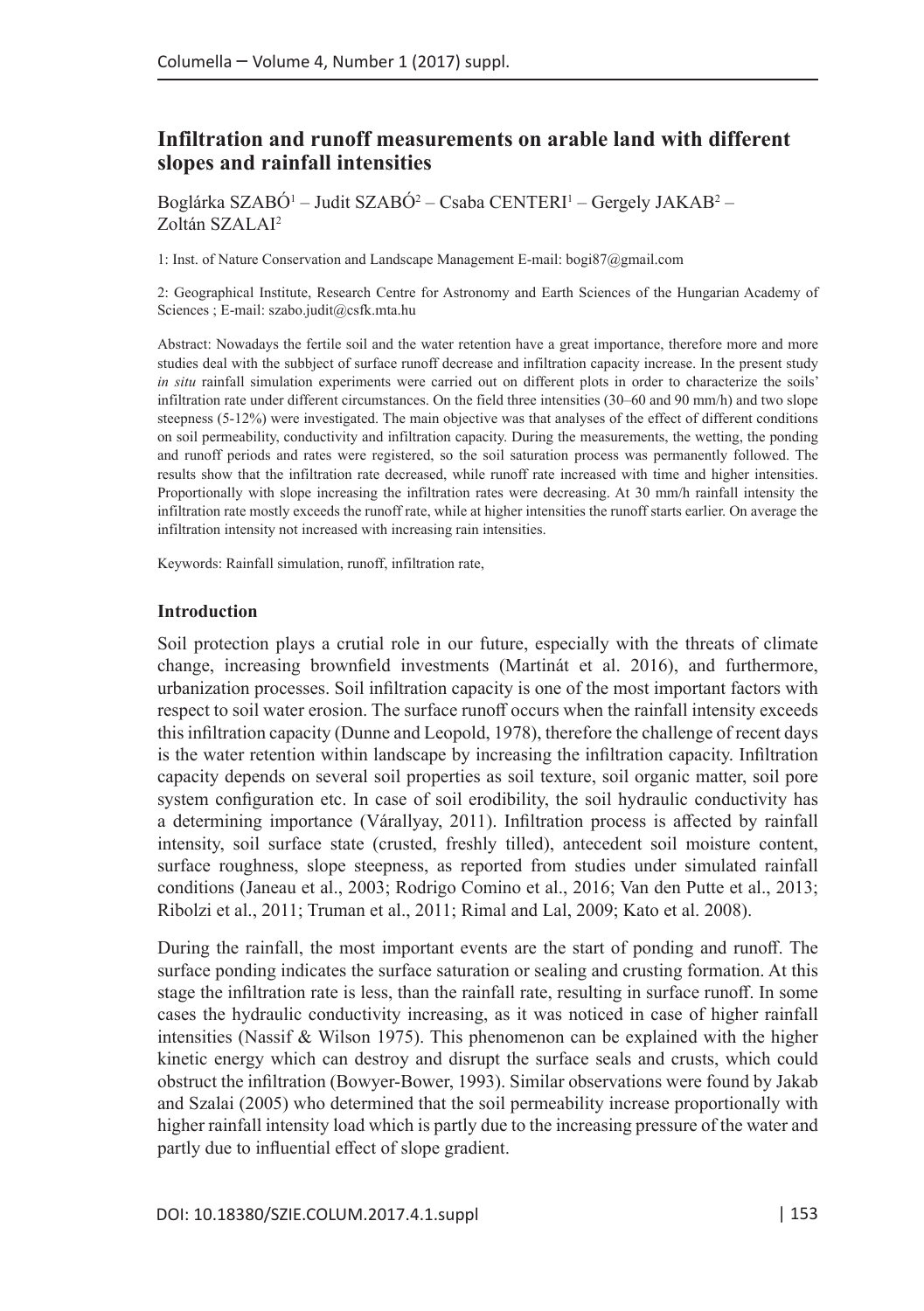# **Infiltration and runoff measurements on arable land with different slopes and rainfall intensities**

Boglárka SZABO<sup>1</sup> – Judit SZABO<sup>2</sup> – Csaba CENTERI' – Gergely JAKAB<sup>2</sup> – Zoltán SZALAI2

1: Inst. of Nature Conservation and Landscape Management E-mail: bogi87@gmail.com

2: Geographical Institute, Research Centre for Astronomy and Earth Sciences of the Hungarian Academy of Sciences ; E-mail: szabo.judit@csfk.mta.hu

Abstract: Nowadays the fertile soil and the water retention have a great importance, therefore more and more studies deal with the subbject of surface runoff decrease and infiltration capacity increase. In the present study *in situ* rainfall simulation experiments were carried out on different plots in order to characterize the soils' infiltration rate under different circumstances. On the field three intensities (30–60 and 90 mm/h) and two slope steepness (5-12%) were investigated. The main objective was that analyses of the effect of different conditions on soil permeability, conductivity and infiltration capacity. During the measurements, the wetting, the ponding and runoff periods and rates were registered, so the soil saturation process was permanently followed. The results show that the infiltration rate decreased, while runoff rate increased with time and higher intensities. Proportionally with slope increasing the infiltration rates were decreasing. At 30 mm/h rainfall intensity the infiltration rate mostly exceeds the runoff rate, while at higher intensities the runoff starts earlier. On average the infiltration intensity not increased with increasing rain intensities.

Keywords: Rainfall simulation, runoff, infiltration rate,

#### **Introduction**

Soil protection plays a crutial role in our future, especially with the threats of climate change, increasing brownfield investments (Martinát et al. 2016), and furthermore, urbanization processes. Soil infiltration capacity is one of the most important factors with respect to soil water erosion. The surface runoff occurs when the rainfall intensity exceeds this infiltration capacity (Dunne and Leopold, 1978), therefore the challenge of recent days is the water retention within landscape by increasing the infiltration capacity. Infiltration capacity depends on several soil properties as soil texture, soil organic matter, soil pore system configuration etc. In case of soil erodibility, the soil hydraulic conductivity has a determining importance (Várallyay, 2011). Infiltration process is affected by rainfall intensity, soil surface state (crusted, freshly tilled), antecedent soil moisture content, surface roughness, slope steepness, as reported from studies under simulated rainfall conditions (Janeau et al., 2003; Rodrigo Comino et al., 2016; Van den Putte et al., 2013; Ribolzi et al., 2011; Truman et al., 2011; Rimal and Lal, 2009; Kato et al. 2008).

During the rainfall, the most important events are the start of ponding and runoff. The surface ponding indicates the surface saturation or sealing and crusting formation. At this stage the infiltration rate is less, than the rainfall rate, resulting in surface runoff. In some cases the hydraulic conductivity increasing, as it was noticed in case of higher rainfall intensities (Nassif & Wilson 1975). This phenomenon can be explained with the higher kinetic energy which can destroy and disrupt the surface seals and crusts, which could obstruct the infiltration (Bowyer-Bower, 1993). Similar observations were found by Jakab and Szalai (2005) who determined that the soil permeability increase proportionally with higher rainfall intensity load which is partly due to the increasing pressure of the water and partly due to influential effect of slope gradient.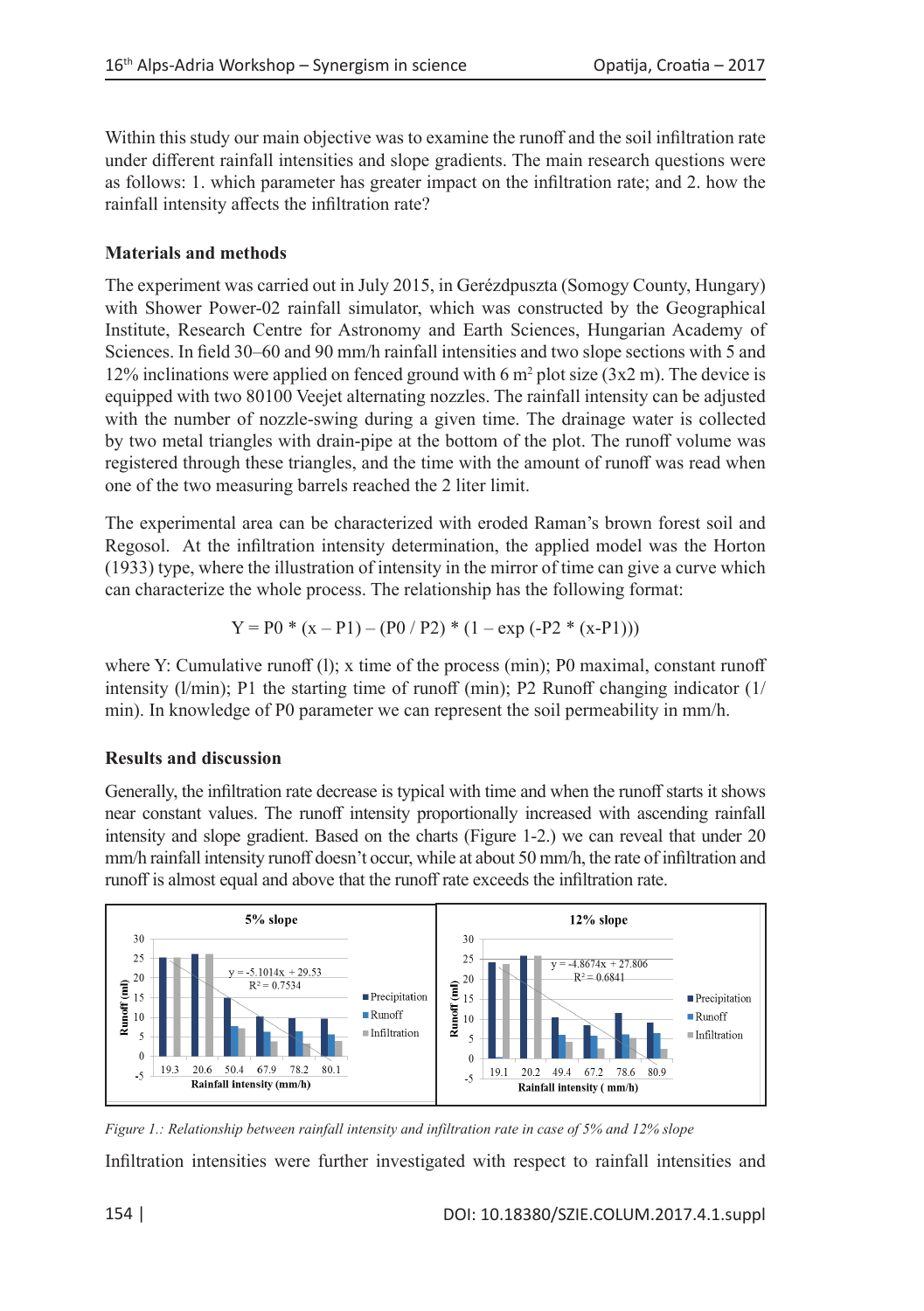Within this study our main objective was to examine the runoff and the soil infiltration rate under different rainfall intensities and slope gradients. The main research questions were as follows: 1. which parameter has greater impact on the infiltration rate; and 2. how the rainfall intensity affects the infiltration rate?

## **Materials and methods**

The experiment was carried out in July 2015, in Gerézdpuszta (Somogy County, Hungary) with Shower Power-02 rainfall simulator, which was constructed by the Geographical Institute, Research Centre for Astronomy and Earth Sciences, Hungarian Academy of Sciences. In field 30–60 and 90 mm/h rainfall intensities and two slope sections with 5 and 12% inclinations were applied on fenced ground with 6  $m^2$  plot size (3x2 m). The device is equipped with two 80100 Veejet alternating nozzles. The rainfall intensity can be adjusted with the number of nozzle-swing during a given time. The drainage water is collected by two metal triangles with drain-pipe at the bottom of the plot. The runoff volume was registered through these triangles, and the time with the amount of runoff was read when one of the two measuring barrels reached the 2 liter limit.

The experimental area can be characterized with eroded Raman's brown forest soil and Regosol. At the infiltration intensity determination, the applied model was the Horton (1933) type, where the illustration of intensity in the mirror of time can give a curve which can characterize the whole process. The relationship has the following format:

$$
Y = P0 * (x - P1) - (P0 / P2) * (1 - exp (-P2 * (x - P1)))
$$

where Y: Cumulative runoff (1); x time of the process (min); P0 maximal, constant runoff intensity ( $l/min$ ); P1 the starting time of runoff (min); P2 Runoff changing indicator ( $1/l$ ) min). In knowledge of P0 parameter we can represent the soil permeability in mm/h.

## **Results and discussion**

Generally, the infiltration rate decrease is typical with time and when the runoff starts it shows near constant values. The runoff intensity proportionally increased with ascending rainfall intensity and slope gradient. Based on the charts (Figure 1-2.) we can reveal that under 20 mm/h rainfall intensity runoff doesn't occur, while at about 50 mm/h, the rate of infiltration and runoff is almost equal and above that the runoff rate exceeds the infiltration rate.



*Figure 1.: Relationship between rainfall intensity and infiltration rate in case of 5% and 12% slope* Infiltration intensities were further investigated with respect to rainfall intensities and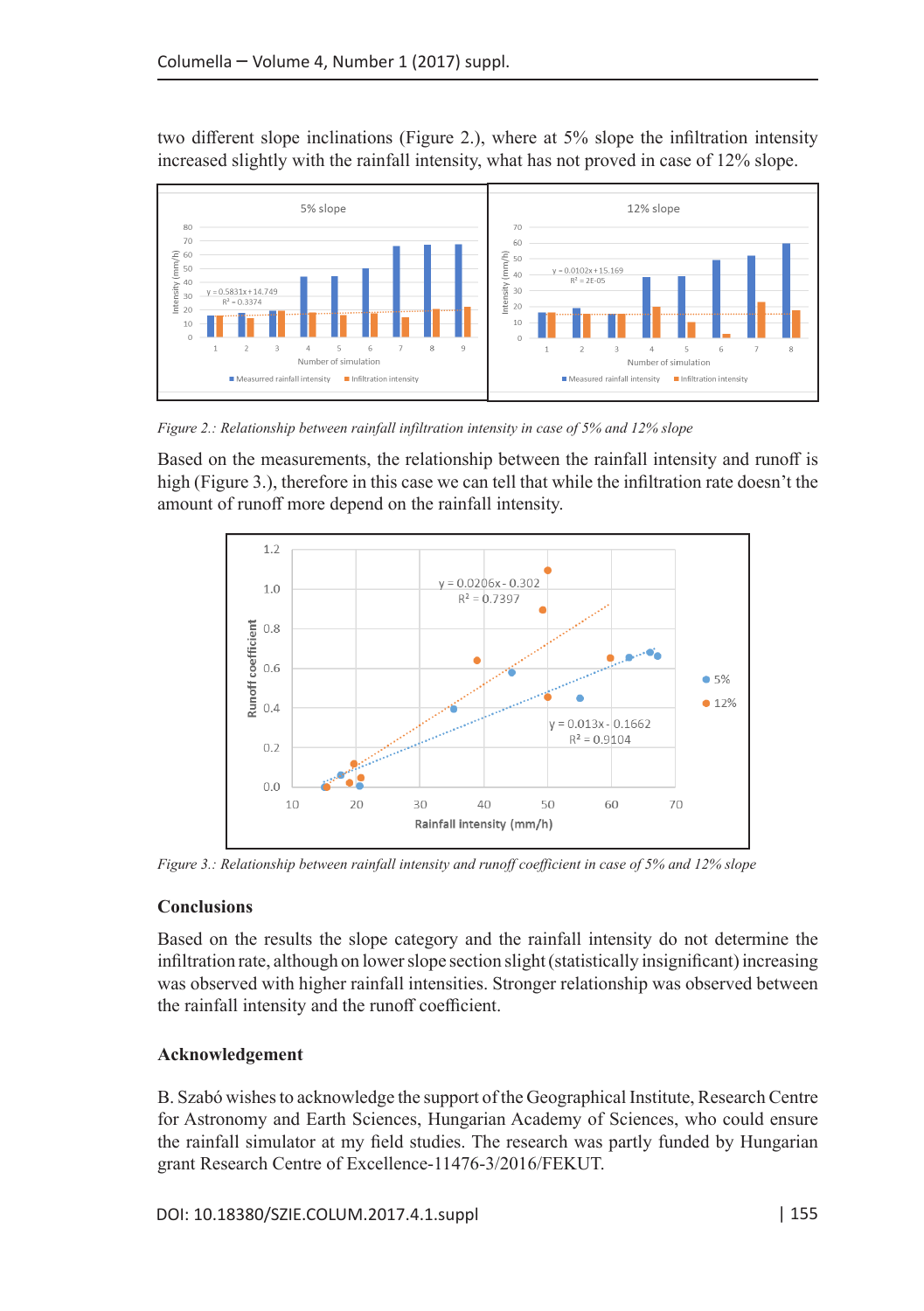two different slope inclinations (Figure 2.), where at 5% slope the infiltration intensity increased slightly with the rainfall intensity, what has not proved in case of 12% slope.



*Figure 2.: Relationship between rainfall infiltration intensity in case of 5% and 12% slope*

Based on the measurements, the relationship between the rainfall intensity and runoff is high (Figure 3.), therefore in this case we can tell that while the infiltration rate doesn't the amount of runoff more depend on the rainfall intensity.



*Figure 3.: Relationship between rainfall intensity and runoff coefficient in case of 5% and 12% slope*

## **Conclusions**

Based on the results the slope category and the rainfall intensity do not determine the infiltration rate, although on lower slope section slight (statistically insignificant) increasing was observed with higher rainfall intensities. Stronger relationship was observed between the rainfall intensity and the runoff coefficient.

## **Acknowledgement**

B. Szabó wishes to acknowledge the support of the Geographical Institute, Research Centre for Astronomy and Earth Sciences, Hungarian Academy of Sciences, who could ensure the rainfall simulator at my field studies. The research was partly funded by Hungarian grant Research Centre of Excellence-11476-3/2016/FEKUT.